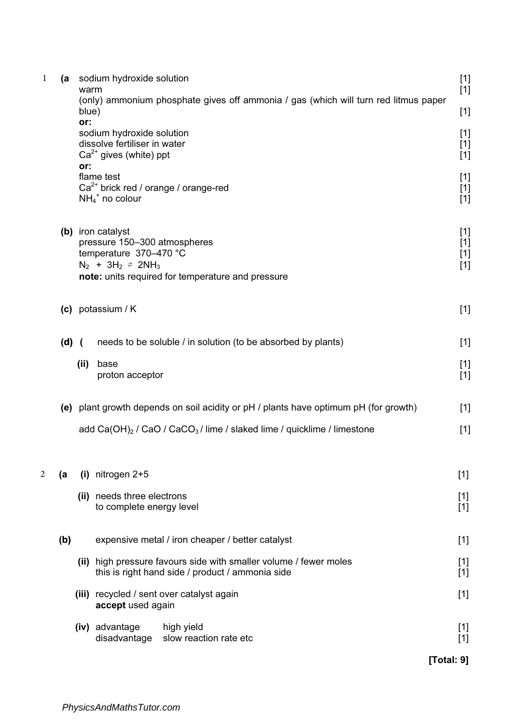| $\mathbf 1$ | (a    | warm                                                                                                                                                                                   | sodium hydroxide solution                                                                                             | $[1]$<br>$[1]$          |  |  |
|-------------|-------|----------------------------------------------------------------------------------------------------------------------------------------------------------------------------------------|-----------------------------------------------------------------------------------------------------------------------|-------------------------|--|--|
|             |       | blue)                                                                                                                                                                                  | (only) ammonium phosphate gives off ammonia / gas (which will turn red litmus paper                                   | $[1]$                   |  |  |
|             |       | or:<br>or:                                                                                                                                                                             | sodium hydroxide solution<br>dissolve fertiliser in water<br>$Ca2+$ gives (white) ppt                                 | $[1]$<br>$[1]$<br>$[1]$ |  |  |
|             |       |                                                                                                                                                                                        | flame test<br>$Ca2+$ brick red / orange / orange-red<br>$NH_4$ <sup>+</sup> no colour                                 | $[1]$<br>$[1]$<br>$[1]$ |  |  |
|             |       | (b) iron catalyst<br>pressure 150-300 atmospheres<br>temperature 370-470 °C<br>$N_2$ + 3H <sub>2</sub> $\approx$ 2NH <sub>3</sub><br>note: units required for temperature and pressure |                                                                                                                       |                         |  |  |
|             |       |                                                                                                                                                                                        | $(c)$ potassium / K                                                                                                   | $[1]$                   |  |  |
|             | (d) ( |                                                                                                                                                                                        | needs to be soluble / in solution (to be absorbed by plants)                                                          | $[1]$                   |  |  |
|             |       | (ii)                                                                                                                                                                                   | base<br>proton acceptor                                                                                               | $[1]$<br>$[1]$          |  |  |
|             |       |                                                                                                                                                                                        | (e) plant growth depends on soil acidity or pH / plants have optimum pH (for growth)                                  | $[1]$                   |  |  |
|             |       |                                                                                                                                                                                        | add Ca(OH) $_2$ / CaO / CaCO $_3$ / lime / slaked lime / quicklime / limestone                                        | $[1]$                   |  |  |
| 2           | (a    |                                                                                                                                                                                        | $(i)$ nitrogen 2+5                                                                                                    | $[1]$                   |  |  |
|             |       |                                                                                                                                                                                        | (ii) needs three electrons<br>to complete energy level                                                                | $[1]$<br>$[1]$          |  |  |
|             | (b)   |                                                                                                                                                                                        | expensive metal / iron cheaper / better catalyst                                                                      | $[1]$                   |  |  |
|             |       |                                                                                                                                                                                        | (ii) high pressure favours side with smaller volume / fewer moles<br>this is right hand side / product / ammonia side | $[1]$<br>$[1]$          |  |  |
|             |       |                                                                                                                                                                                        | (iii) recycled / sent over catalyst again<br>accept used again                                                        | $[1]$                   |  |  |
|             |       |                                                                                                                                                                                        | (iv) advantage<br>high yield<br>slow reaction rate etc<br>disadvantage                                                | $[1]$<br>$[1]$          |  |  |
|             |       |                                                                                                                                                                                        |                                                                                                                       | [Total: 9]              |  |  |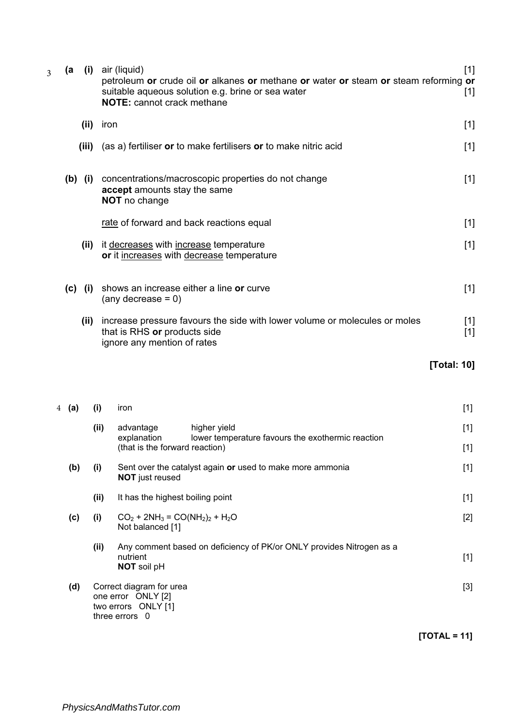| $\overline{3}$ |                |           | (a (i) air (liquid)<br>petroleum or crude oil or alkanes or methane or water or steam or steam reforming or<br>suitable aqueous solution e.g. brine or sea water<br><b>NOTE:</b> cannot crack methane |                |  |
|----------------|----------------|-----------|-------------------------------------------------------------------------------------------------------------------------------------------------------------------------------------------------------|----------------|--|
|                |                | (ii)      | iron                                                                                                                                                                                                  | $[1]$          |  |
|                |                | (iii)     | (as a) fertiliser or to make fertilisers or to make nitric acid                                                                                                                                       | $[1]$          |  |
|                |                | $(b)$ (i) | concentrations/macroscopic properties do not change<br>accept amounts stay the same<br>NOT no change                                                                                                  | $[1]$          |  |
|                |                |           | rate of forward and back reactions equal                                                                                                                                                              | $[1]$          |  |
|                |                | (ii)      | it decreases with increase temperature<br>or it increases with decrease temperature                                                                                                                   | $[1]$          |  |
|                |                | $(c)$ (i) | shows an increase either a line or curve<br>$(\text{any decrease} = 0)$                                                                                                                               | $[1]$          |  |
|                |                | (ii)      | increase pressure favours the side with lower volume or molecules or moles<br>that is RHS or products side<br>ignore any mention of rates                                                             | $[1]$<br>$[1]$ |  |
|                |                |           |                                                                                                                                                                                                       | [Total: 10]    |  |
|                | 4 ( <b>a</b> ) |           | (i)<br>iron                                                                                                                                                                                           | $[1]$          |  |
|                |                |           | higher yield<br>(ii)<br>advantage<br>lower temperature favours the exothermic reaction<br>explanation<br>(that is the forward reaction)                                                               | $[1]$<br>$[1]$ |  |
|                | (b)            |           | (i)<br>Sent over the catalyst again or used to make more ammonia<br><b>NOT</b> just reused                                                                                                            | $[1]$          |  |
|                |                |           | (ii)<br>It has the highest boiling point                                                                                                                                                              | $[1]$          |  |
|                | (c)            |           |                                                                                                                                                                                                       |                |  |
|                |                |           | (i)<br>$CO_2$ + 2NH <sub>3</sub> = CO(NH <sub>2</sub> ) <sub>2</sub> + H <sub>2</sub> O<br>Not balanced [1]                                                                                           | $[2]$          |  |
|                |                |           | (ii)<br>Any comment based on deficiency of PK/or ONLY provides Nitrogen as a<br>nutrient<br>NOT soil pH                                                                                               | $[1]$          |  |
|                | (d)            |           | Correct diagram for urea<br>one error ONLY [2]<br>two errors ONLY [1]<br>three errors 0                                                                                                               | $[3]$          |  |

[TOTAL = 11]